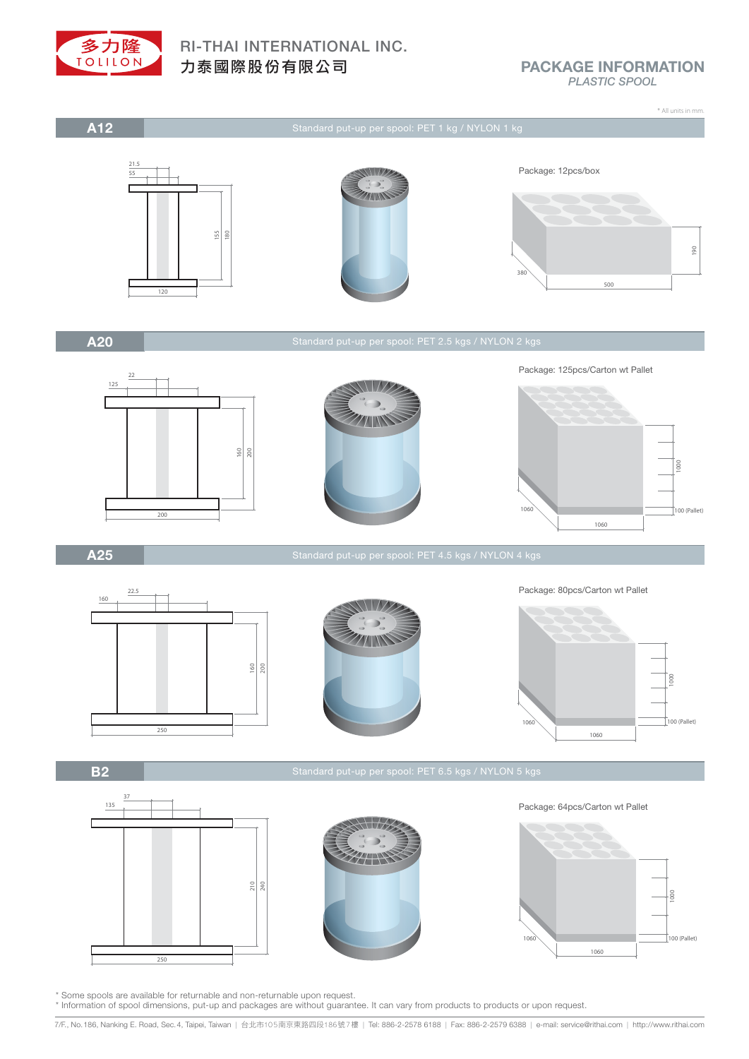

## PACKAGE INFORMATION *PLASTIC SPOOL*

\* All units in mm.



Standard put-up per spool: PET 1 kg / NYLON 1 kg



A20

 $718$ 



A25

250  $\frac{8}{20}$ 22.5 160



Package: 80pcs/Carton wt Pallet



B2



\* Some spools are available for returnable and non-returnable upon request.

\* Information of spool dimensions, put-up and packages are without guarantee. It can vary from products to products or upon request.

7/F., No.186, Nanking E. Road, Sec.4, Taipei, Taiwan | 台北市105南京東路四段186號7樓 | Tel: 886-2-2578 6188 | Fax: 886-2-2579 6388 | e-mail: service@rithai.com | http://www.rithai.com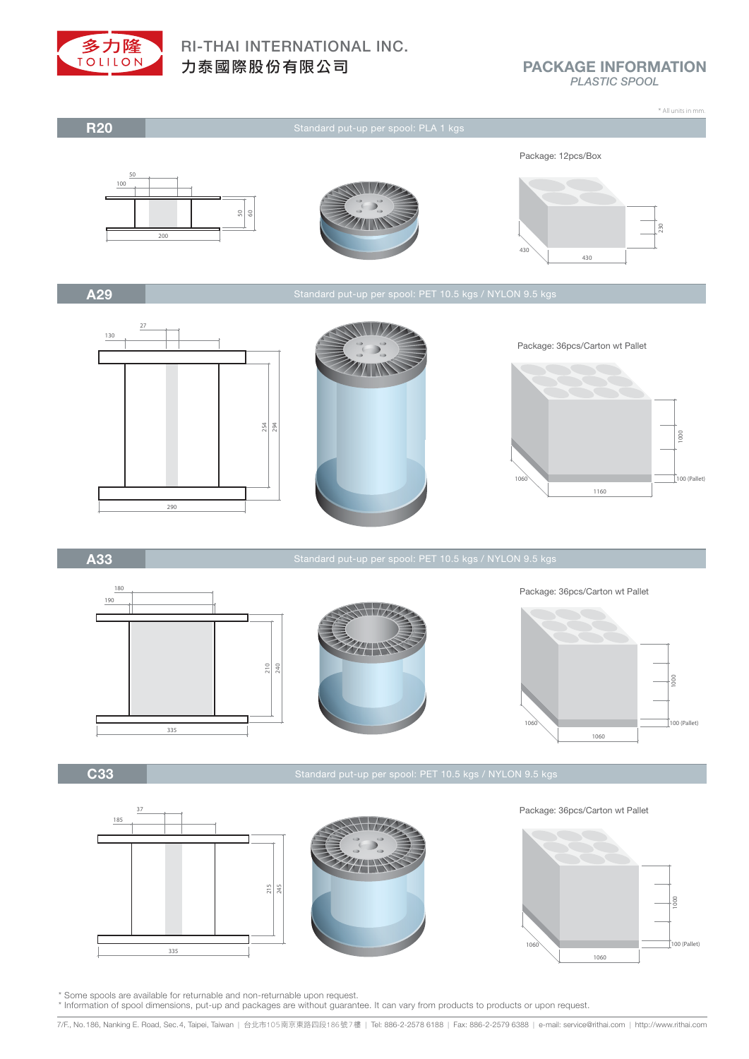

PACKAGE INFORMATION *PLASTIC SPOOL*

 $\uparrow$ 100 (Pallet)



\* Information of spool dimensions, put-up and packages are without guarantee. It can vary from products to products or upon request.

7/F., No.186, Nanking E. Road, Sec.4, Taipei, Taiwan | 台北市105南京東路四段186號7樓 | Tel: 886-2-2578 6188 | Fax: 886-2-2579 6388 | e-mail: service@rithai.com | http://www.rithai.com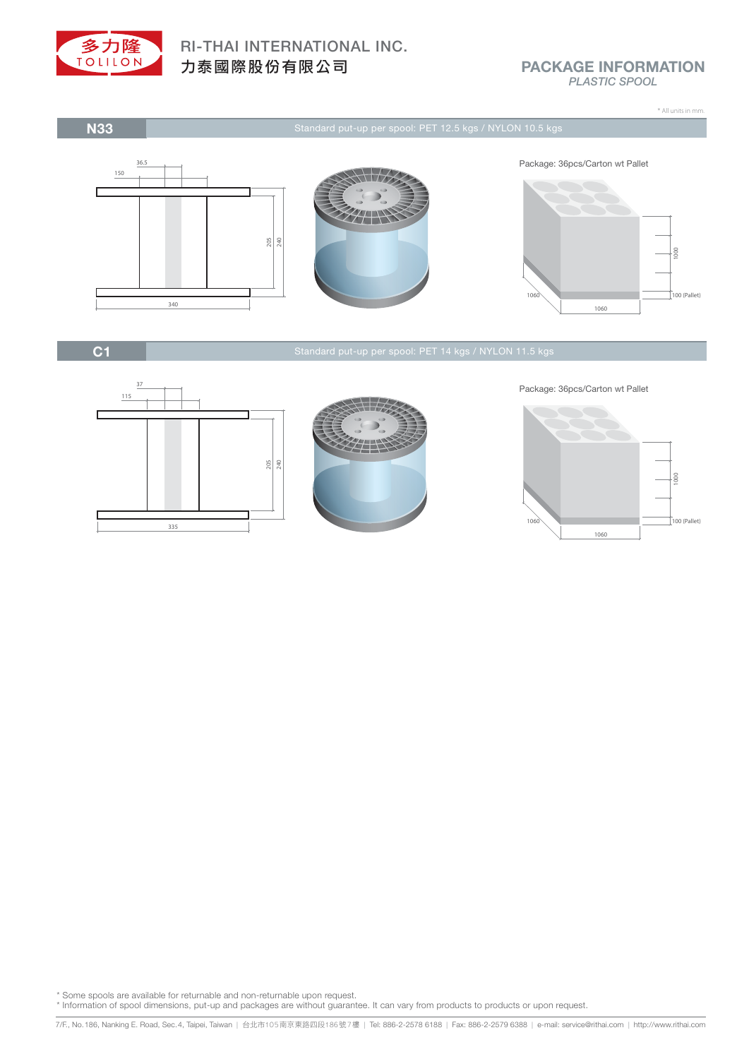

N33

# RI-THAI INTERNATIONAL INC. 力泰國際股份有限公司

## PACKAGE INFORMATION *PLASTIC SPOOL*

\* All units in mm.







C1





Package: 36pcs/Carton wt Pallet



\* Some spools are available for returnable and non-returnable upon request.

\* Information of spool dimensions, put-up and packages are without guarantee. It can vary from products to products or upon request.

<sup>-&</sup>lt;br>7/F., No.186, Nanking E. Road, Sec.4, Taipei, Taiwan | 台北市105南京東路四段186號7樓 | Tel: 886-2-2578 6188 | Fax: 886-2-2579 6388 | e-mail: service@rithai.com | http://www.rithai.com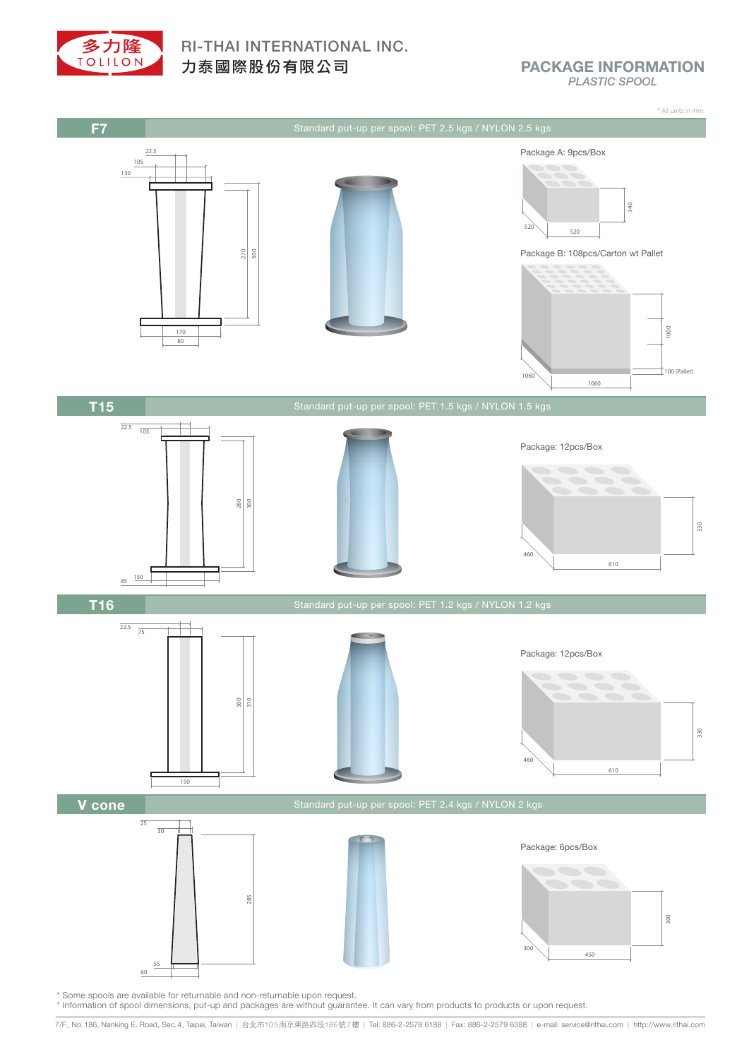

PACKAGE INFORMATION *PLASTIC SPOOL*



\* Some spools are available for returnable and non-returnable upon request.

\* Information of spool dimensions, put-up and packages are without guarantee. It can vary from products to products or upon request.

7/F., No.186, Nanking E. Road, Sec.4, Taipei, Taiwan | 台北市105南京東路四段186號7樓 | Tel: 886-2-2578 6188 | Fax: 886-2-2579 6388 | e-mail: service@rithai.com | http://www.rithai.com